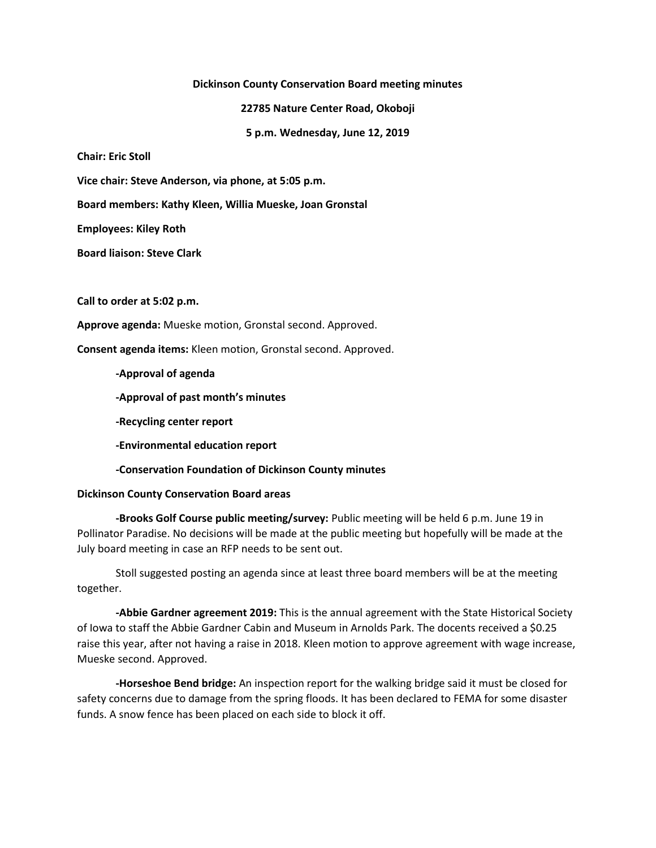**Dickinson County Conservation Board meeting minutes**

**22785 Nature Center Road, Okoboji**

**5 p.m. Wednesday, June 12, 2019**

**Chair: Eric Stoll**

**Vice chair: Steve Anderson, via phone, at 5:05 p.m.**

**Board members: Kathy Kleen, Willia Mueske, Joan Gronstal**

**Employees: Kiley Roth**

**Board liaison: Steve Clark**

**Call to order at 5:02 p.m.**

**Approve agenda:** Mueske motion, Gronstal second. Approved.

**Consent agenda items:** Kleen motion, Gronstal second. Approved.

**-Approval of agenda**

**-Approval of past month's minutes**

**-Recycling center report**

**-Environmental education report**

**-Conservation Foundation of Dickinson County minutes**

## **Dickinson County Conservation Board areas**

**-Brooks Golf Course public meeting/survey:** Public meeting will be held 6 p.m. June 19 in Pollinator Paradise. No decisions will be made at the public meeting but hopefully will be made at the July board meeting in case an RFP needs to be sent out.

Stoll suggested posting an agenda since at least three board members will be at the meeting together.

**-Abbie Gardner agreement 2019:** This is the annual agreement with the State Historical Society of Iowa to staff the Abbie Gardner Cabin and Museum in Arnolds Park. The docents received a \$0.25 raise this year, after not having a raise in 2018. Kleen motion to approve agreement with wage increase, Mueske second. Approved.

**-Horseshoe Bend bridge:** An inspection report for the walking bridge said it must be closed for safety concerns due to damage from the spring floods. It has been declared to FEMA for some disaster funds. A snow fence has been placed on each side to block it off.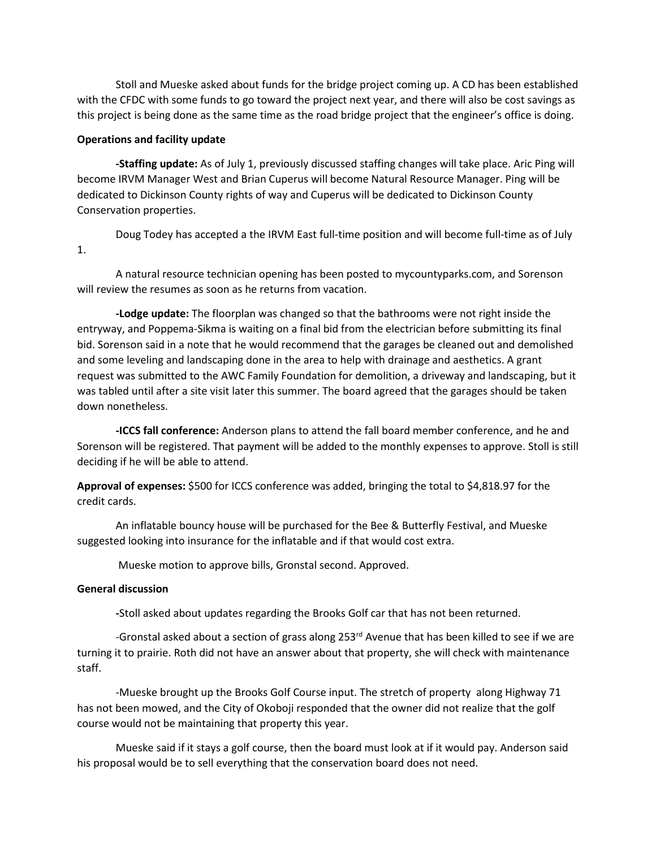Stoll and Mueske asked about funds for the bridge project coming up. A CD has been established with the CFDC with some funds to go toward the project next year, and there will also be cost savings as this project is being done as the same time as the road bridge project that the engineer's office is doing.

## **Operations and facility update**

**-Staffing update:** As of July 1, previously discussed staffing changes will take place. Aric Ping will become IRVM Manager West and Brian Cuperus will become Natural Resource Manager. Ping will be dedicated to Dickinson County rights of way and Cuperus will be dedicated to Dickinson County Conservation properties.

Doug Todey has accepted a the IRVM East full-time position and will become full-time as of July 1.

A natural resource technician opening has been posted to mycountyparks.com, and Sorenson will review the resumes as soon as he returns from vacation.

**-Lodge update:** The floorplan was changed so that the bathrooms were not right inside the entryway, and Poppema-Sikma is waiting on a final bid from the electrician before submitting its final bid. Sorenson said in a note that he would recommend that the garages be cleaned out and demolished and some leveling and landscaping done in the area to help with drainage and aesthetics. A grant request was submitted to the AWC Family Foundation for demolition, a driveway and landscaping, but it was tabled until after a site visit later this summer. The board agreed that the garages should be taken down nonetheless.

**-ICCS fall conference:** Anderson plans to attend the fall board member conference, and he and Sorenson will be registered. That payment will be added to the monthly expenses to approve. Stoll is still deciding if he will be able to attend.

**Approval of expenses:** \$500 for ICCS conference was added, bringing the total to \$4,818.97 for the credit cards.

An inflatable bouncy house will be purchased for the Bee & Butterfly Festival, and Mueske suggested looking into insurance for the inflatable and if that would cost extra.

Mueske motion to approve bills, Gronstal second. Approved.

## **General discussion**

**-**Stoll asked about updates regarding the Brooks Golf car that has not been returned.

-Gronstal asked about a section of grass along 253<sup>rd</sup> Avenue that has been killed to see if we are turning it to prairie. Roth did not have an answer about that property, she will check with maintenance staff.

-Mueske brought up the Brooks Golf Course input. The stretch of property along Highway 71 has not been mowed, and the City of Okoboji responded that the owner did not realize that the golf course would not be maintaining that property this year.

Mueske said if it stays a golf course, then the board must look at if it would pay. Anderson said his proposal would be to sell everything that the conservation board does not need.